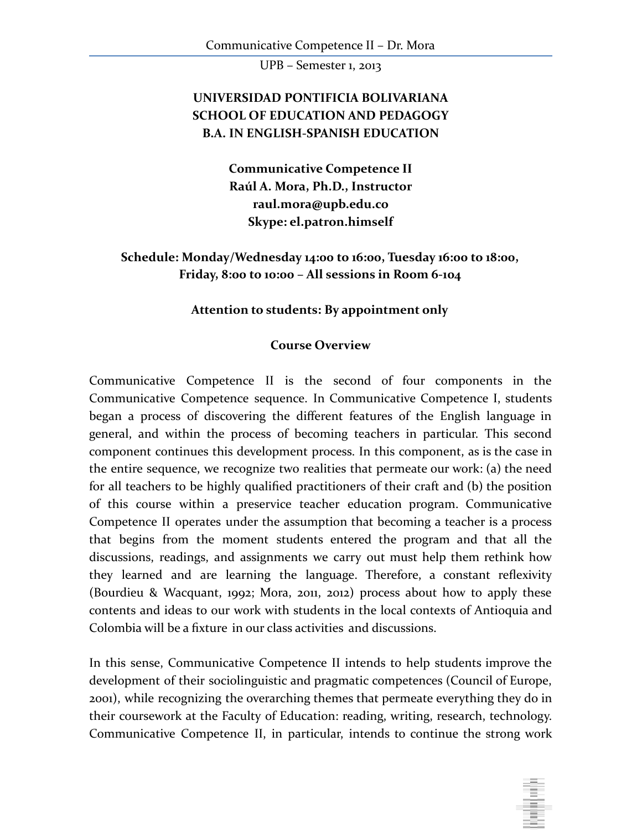## **UNIVERSIDAD PONTIFICIA BOLIVARIANA SCHOOL OF EDUCATION AND PEDAGOGY B.A. IN ENGLISH-SPANISH EDUCATION**

**Communicative Competence II Raúl A. Mora, Ph.D., Instructor [raul.mora@upb.edu.co](mailto:raulmora@illinoisalumni.org) Skype: el.patron.himself**

**Schedule: Monday/Wednesday 14:00 to 16:00, Tuesday 16:00 to 18:00, Friday, 8:00 to 10:00 – All sessions in Room 6-104**

#### **Attention to students: By appointment only**

#### **Course Overview**

Communicative Competence II is the second of four components in the Communicative Competence sequence. In Communicative Competence I, students began a process of discovering the different features of the English language in general, and within the process of becoming teachers in particular. This second component continues this development process. In this component, as is the case in the entire sequence, we recognize two realities that permeate our work: (a) the need for all teachers to be highly qualified practitioners of their craft and (b) the position of this course within a preservice teacher education program. Communicative Competence II operates under the assumption that becoming a teacher is a process that begins from the moment students entered the program and that all the discussions, readings, and assignments we carry out must help them rethink how they learned and are learning the language. Therefore, a constant reflexivity (Bourdieu & Wacquant, 1992; Mora, 2011, 2012) process about how to apply these contents and ideas to our work with students in the local contexts of Antioquia and Colombia will be a fixture in our class activities and discussions.

In this sense, Communicative Competence II intends to help students improve the development of their sociolinguistic and pragmatic competences (Council of Europe, 2001), while recognizing the overarching themes that permeate everything they do in their coursework at the Faculty of Education: reading, writing, research, technology. Communicative Competence II, in particular, intends to continue the strong work

in a factory of the control.<br>The control of the control of the control of the control of the control of the control of the control of the control of the control of the control of the control of the control of the control o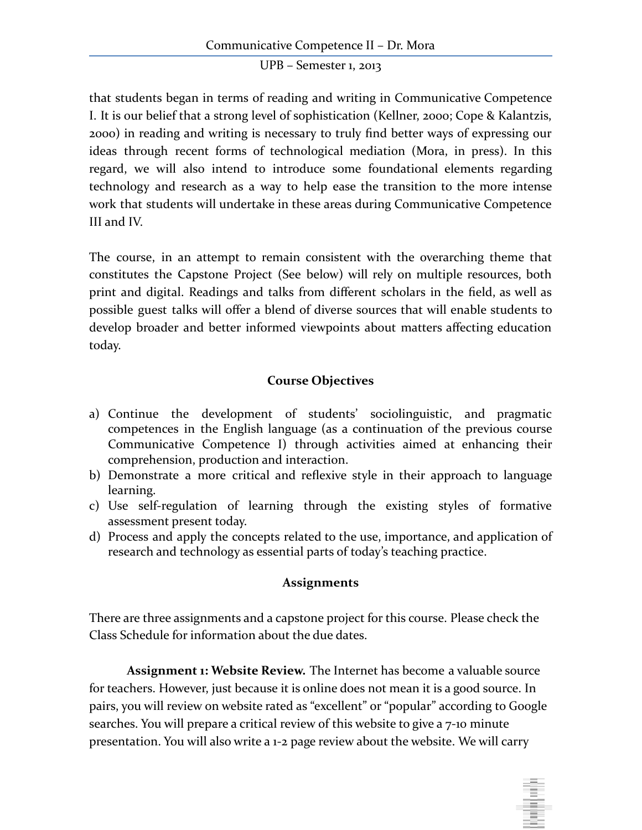that students began in terms of reading and writing in Communicative Competence I. It is our belief that a strong level of sophistication (Kellner, 2000; Cope & Kalantzis, 2000) in reading and writing is necessary to truly find better ways of expressing our ideas through recent forms of technological mediation (Mora, in press). In this regard, we will also intend to introduce some foundational elements regarding technology and research as a way to help ease the transition to the more intense work that students will undertake in these areas during Communicative Competence III and IV.

The course, in an attempt to remain consistent with the overarching theme that constitutes the Capstone Project (See below) will rely on multiple resources, both print and digital. Readings and talks from different scholars in the field, as well as possible guest talks will offer a blend of diverse sources that will enable students to develop broader and better informed viewpoints about matters affecting education today.

#### **Course Objectives**

- a) Continue the development of students' sociolinguistic, and pragmatic competences in the English language (as a continuation of the previous course Communicative Competence I) through activities aimed at enhancing their comprehension, production and interaction.
- b) Demonstrate a more critical and reflexive style in their approach to language learning.
- c) Use self-regulation of learning through the existing styles of formative assessment present today.
- d) Process and apply the concepts related to the use, importance, and application of research and technology as essential parts of today's teaching practice.

#### **Assignments**

There are three assignments and a capstone project for this course. Please check the Class Schedule for information about the due dates.

**Assignment 1: Website Review.** The Internet has become a valuable source for teachers. However, just because it is online does not mean it is a good source. In pairs, you will review on website rated as "excellent" or "popular" according to Google searches. You will prepare a critical review of this website to give a 7-10 minute presentation. You will also write a 1-2 page review about the website. We will carry

in in the first part of the first part of the first part of the first part of the first part of the first part of the first part of the first part of the first part of the first part of the first part of the first part of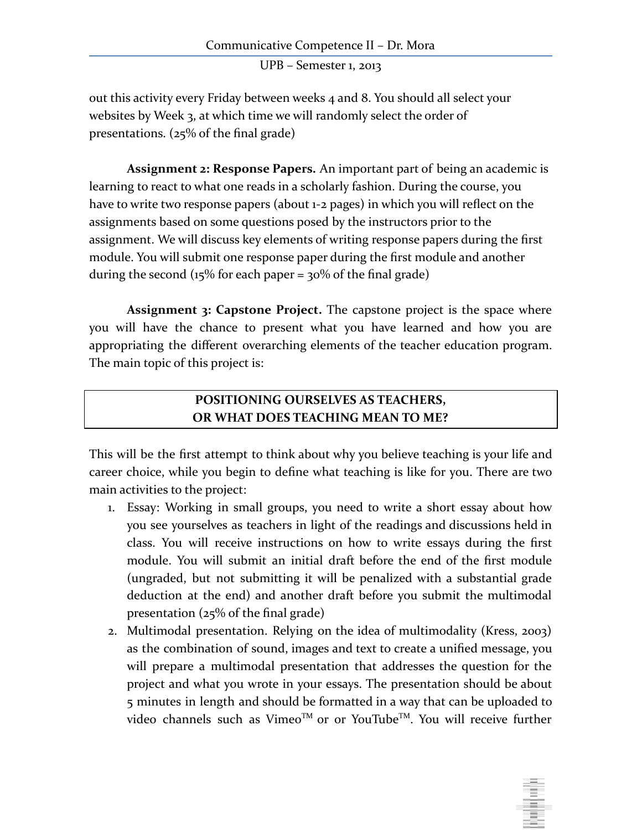out this activity every Friday between weeks 4 and 8. You should all select your websites by Week 3, at which time we will randomly select the order of presentations. (25% of the final grade)

**Assignment 2: Response Papers.** An important part of being an academic is learning to react to what one reads in a scholarly fashion. During the course, you have to write two response papers (about 1-2 pages) in which you will reflect on the assignments based on some questions posed by the instructors prior to the assignment. We will discuss key elements of writing response papers during the first module. You will submit one response paper during the first module and another during the second ( $15\%$  for each paper =  $30\%$  of the final grade)

**Assignment 3: Capstone Project.** The capstone project is the space where you will have the chance to present what you have learned and how you are appropriating the different overarching elements of the teacher education program. The main topic of this project is:

## **POSITIONING OURSELVES AS TEACHERS, OR WHAT DOES TEACHING MEAN TO ME?**

This will be the first attempt to think about why you believe teaching is your life and career choice, while you begin to define what teaching is like for you. There are two main activities to the project:

- 1. Essay: Working in small groups, you need to write a short essay about how you see yourselves as teachers in light of the readings and discussions held in class. You will receive instructions on how to write essays during the first module. You will submit an initial draft before the end of the first module (ungraded, but not submitting it will be penalized with a substantial grade deduction at the end) and another draft before you submit the multimodal presentation (25% of the final grade)
- 2. Multimodal presentation. Relying on the idea of multimodality (Kress, 2003) as the combination of sound, images and text to create a unified message, you will prepare a multimodal presentation that addresses the question for the project and what you wrote in your essays. The presentation should be about 5 minutes in length and should be formatted in a way that can be uploaded to video channels such as Vimeo™ or or YouTube™. You will receive further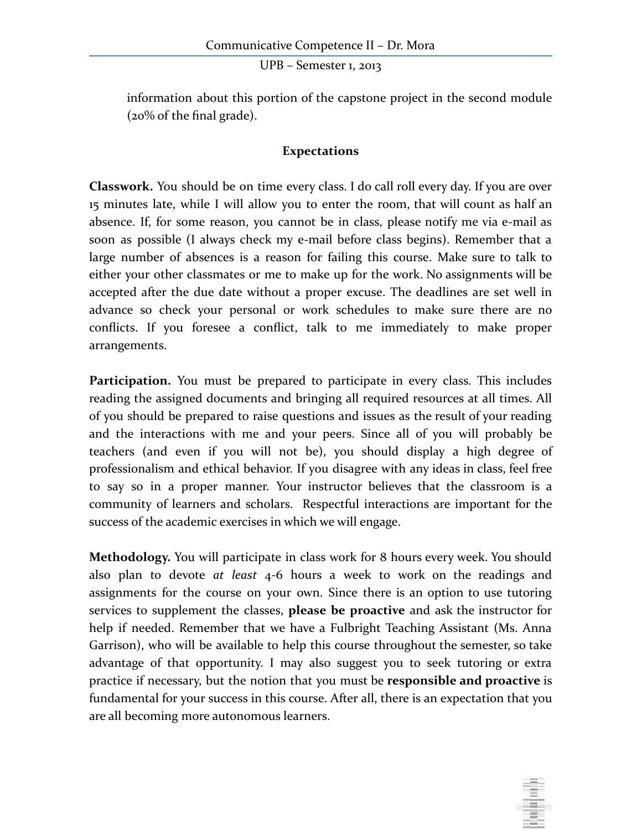information about this portion of the capstone project in the second module (20% of the final grade).

#### **Expectations**

**Classwork.** You should be on time every class. I do call roll every day. If you are over 15 minutes late, while I will allow you to enter the room, that will count as half an absence. If, for some reason, you cannot be in class, please notify me via e-mail as soon as possible (I always check my e-mail before class begins). Remember that a large number of absences is a reason for failing this course. Make sure to talk to either your other classmates or me to make up for the work. No assignments will be accepted after the due date without a proper excuse. The deadlines are set well in advance so check your personal or work schedules to make sure there are no conflicts. If you foresee a conflict, talk to me immediately to make proper arrangements.

**Participation.** You must be prepared to participate in every class. This includes reading the assigned documents and bringing all required resources at all times. All of you should be prepared to raise questions and issues as the result of your reading and the interactions with me and your peers. Since all of you will probably be teachers (and even if you will not be), you should display a high degree of professionalism and ethical behavior. If you disagree with any ideas in class, feel free to say so in a proper manner. Your instructor believes that the classroom is a community of learners and scholars. Respectful interactions are important for the success of the academic exercises in which we will engage.

**Methodology.** You will participate in class work for 8 hours every week. You should also plan to devote *at least* 4-6 hours a week to work on the readings and assignments for the course on your own. Since there is an option to use tutoring services to supplement the classes, **please be proactive** and ask the instructor for help if needed. Remember that we have a Fulbright Teaching Assistant (Ms. Anna Garrison), who will be available to help this course throughout the semester, so take advantage of that opportunity. I may also suggest you to seek tutoring or extra practice if necessary, but the notion that you must be **responsible and proactive** is fundamental for your success in this course. After all, there is an expectation that you are all becoming more autonomous learners.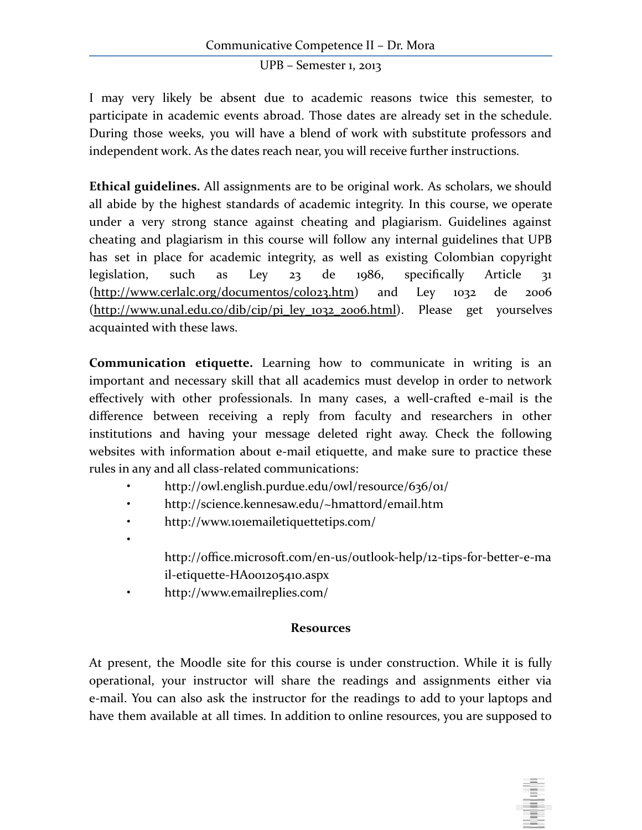I may very likely be absent due to academic reasons twice this semester, to participate in academic events abroad. Those dates are already set in the schedule. During those weeks, you will have a blend of work with substitute professors and independent work. As the dates reach near, you will receive further instructions.

**Ethical guidelines.** All assignments are to be original work. As scholars, we should all abide by the highest standards of academic integrity. In this course, we operate under a very strong stance against cheating and plagiarism. Guidelines against cheating and plagiarism in this course will follow any internal guidelines that UPB has set in place for academic integrity, as well as existing Colombian copyright legislation, such as Ley 23 de 1986, specifically Article 31 [\(http://www.cerlalc.org/documentos/colo23.htm\)](http://www.cerlalc.org/documentos/colo23.htm) and Ley 1032 de 2006 [\(http://www.unal.edu.co/dib/cip/pi\\_ley\\_1032\\_2006.html](http://www.unal.edu.co/dib/cip/pi_ley_1032_2006.html)). Please get yourselves acquainted with these laws.

**Communication etiquette.** Learning how to communicate in writing is an important and necessary skill that all academics must develop in order to network effectively with other professionals. In many cases, a well-crafted e-mail is the difference between receiving a reply from faculty and researchers in other institutions and having your message deleted right away. Check the following websites with information about e-mail etiquette, and make sure to practice these rules in any and all class-related communications:

- http://owl.english.purdue.edu/owl/resource/636/01/
- http://science.kennesaw.edu/~hmattord/email.htm
- http://www.101emailetiquettetips.com/
- http://office.microsoft.com/en-us/outlook-help/12-tips-for-better-e-ma il-etiquette-HA001205410.aspx
- http://www.emailreplies.com/

•

#### **Resources**

At present, the Moodle site for this course is under construction. While it is fully operational, your instructor will share the readings and assignments either via e-mail. You can also ask the instructor for the readings to add to your laptops and have them available at all times. In addition to online resources, you are supposed to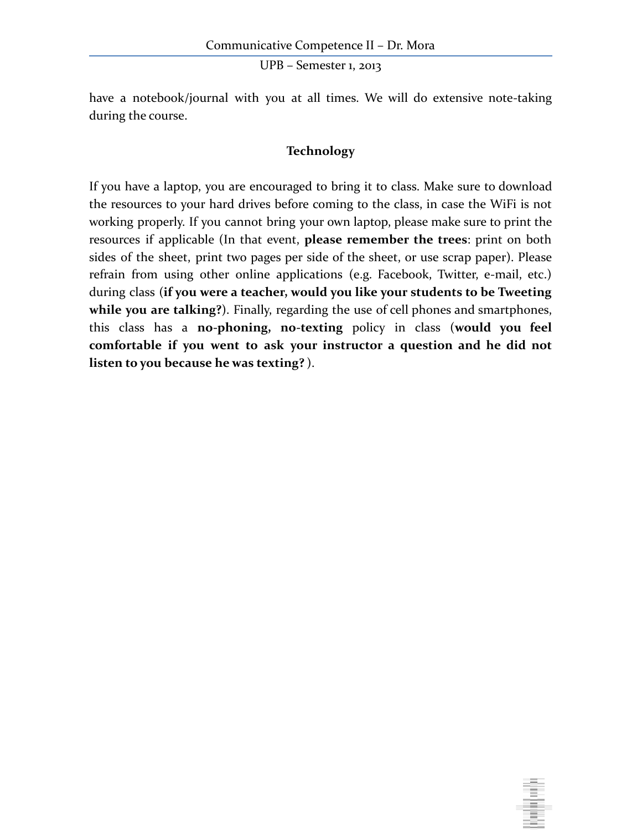have a notebook/journal with you at all times. We will do extensive note-taking during the course.

#### **Technology**

If you have a laptop, you are encouraged to bring it to class. Make sure to download the resources to your hard drives before coming to the class, in case the WiFi is not working properly. If you cannot bring your own laptop, please make sure to print the resources if applicable (In that event, **please remember the trees**: print on both sides of the sheet, print two pages per side of the sheet, or use scrap paper). Please refrain from using other online applications (e.g. Facebook, Twitter, e-mail, etc.) during class (**if you were a teacher, would you like your students to be Tweeting while you are talking?**). Finally, regarding the use of cell phones and smartphones, this class has a **no-phoning, no-texting** policy in class (**would you feel comfortable if you went to ask your instructor a question and he did not listen to you because he was texting?** ).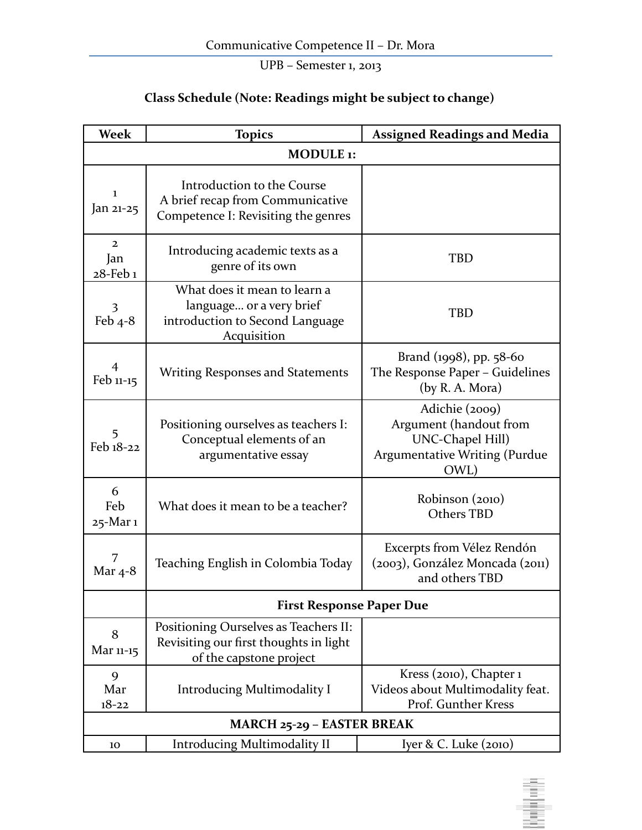# **Class Schedule (Note: Readings might be subject to change)**

| <b>Week</b>                       | <b>Topics</b>                                                                                              | <b>Assigned Readings and Media</b>                                                                                  |  |
|-----------------------------------|------------------------------------------------------------------------------------------------------------|---------------------------------------------------------------------------------------------------------------------|--|
| MODULE <sub>1</sub> :             |                                                                                                            |                                                                                                                     |  |
| 1<br>Jan 21-25                    | Introduction to the Course<br>A brief recap from Communicative<br>Competence I: Revisiting the genres      |                                                                                                                     |  |
| $\mathbf{2}$<br>Jan<br>28-Feb 1   | Introducing academic texts as a<br>genre of its own                                                        | <b>TBD</b>                                                                                                          |  |
| 3<br>Feb $4-8$                    | What does it mean to learn a<br>language or a very brief<br>introduction to Second Language<br>Acquisition | <b>TBD</b>                                                                                                          |  |
| $\overline{4}$<br>Feb 11-15       | <b>Writing Responses and Statements</b>                                                                    | Brand (1998), pp. 58-60<br>The Response Paper - Guidelines<br>(by R. A. Mora)                                       |  |
| 5<br>Feb 18-22                    | Positioning ourselves as teachers I:<br>Conceptual elements of an<br>argumentative essay                   | Adichie (2009)<br>Argument (handout from<br><b>UNC-Chapel Hill)</b><br><b>Argumentative Writing (Purdue</b><br>OWL) |  |
| 6<br>Feb<br>25-Mar 1              | What does it mean to be a teacher?                                                                         | Robinson (2010)<br><b>Others TBD</b>                                                                                |  |
| 7<br>Mar $4-8$                    | Teaching English in Colombia Today                                                                         | Excerpts from Vélez Rendón<br>(2003), González Moncada (2011)<br>and others TBD                                     |  |
|                                   | <b>First Response Paper Due</b>                                                                            |                                                                                                                     |  |
| 8<br>Mar 11-15                    | Positioning Ourselves as Teachers II:<br>Revisiting our first thoughts in light<br>of the capstone project |                                                                                                                     |  |
| 9<br>Mar<br>$18 - 22$             | <b>Introducing Multimodality I</b>                                                                         | Kress (2010), Chapter 1<br>Videos about Multimodality feat.<br>Prof. Gunther Kress                                  |  |
| <b>MARCH 25-29 - EASTER BREAK</b> |                                                                                                            |                                                                                                                     |  |
| 10                                | <b>Introducing Multimodality II</b>                                                                        | Iyer & C. Luke (2010)                                                                                               |  |

**Ballyton**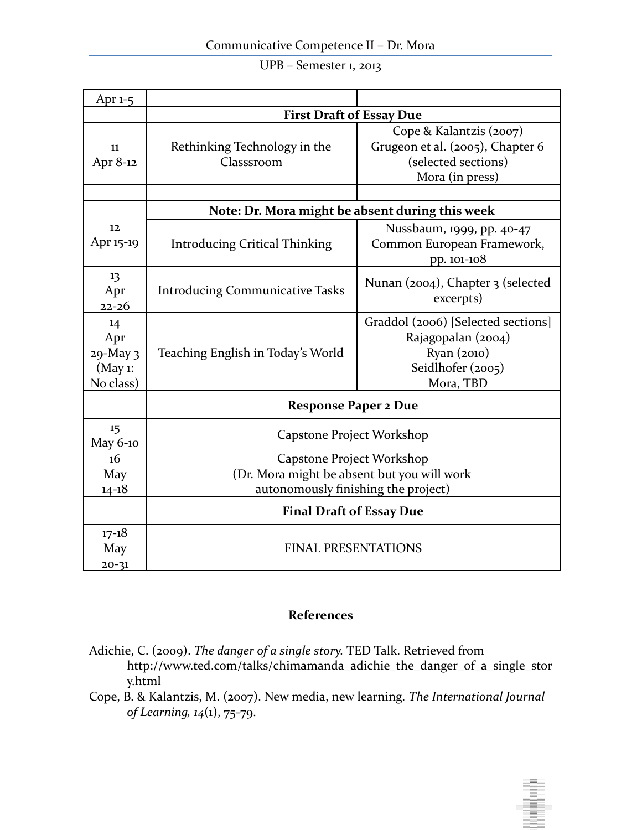|  | UPB - Semester 1, 2013 |
|--|------------------------|
|--|------------------------|

| Apr $1-5$                                     |                                                                                                                 |                                                                                                           |  |
|-----------------------------------------------|-----------------------------------------------------------------------------------------------------------------|-----------------------------------------------------------------------------------------------------------|--|
|                                               | <b>First Draft of Essay Due</b>                                                                                 |                                                                                                           |  |
| 11<br>Apr 8-12                                | Rethinking Technology in the<br>Classsroom                                                                      | Cope & Kalantzis (2007)<br>Grugeon et al. (2005), Chapter 6<br>(selected sections)<br>Mora (in press)     |  |
|                                               |                                                                                                                 |                                                                                                           |  |
|                                               | Note: Dr. Mora might be absent during this week                                                                 |                                                                                                           |  |
| 12<br>Apr 15-19                               | <b>Introducing Critical Thinking</b>                                                                            | Nussbaum, 1999, pp. 40-47<br>Common European Framework,<br>pp. 101-108                                    |  |
| 13<br>Apr<br>$22 - 26$                        | <b>Introducing Communicative Tasks</b>                                                                          | Nunan (2004), Chapter 3 (selected<br>excerpts)                                                            |  |
| 14<br>Apr<br>29-May 3<br>(May 1:<br>No class) | Teaching English in Today's World                                                                               | Graddol (2006) [Selected sections]<br>Rajagopalan (2004)<br>Ryan (2010)<br>Seidlhofer (2005)<br>Mora, TBD |  |
|                                               | <b>Response Paper 2 Due</b>                                                                                     |                                                                                                           |  |
| 15<br>May 6-10                                | Capstone Project Workshop                                                                                       |                                                                                                           |  |
| 16<br>May<br>$14 - 18$                        | Capstone Project Workshop<br>(Dr. Mora might be absent but you will work<br>autonomously finishing the project) |                                                                                                           |  |
|                                               | <b>Final Draft of Essay Due</b>                                                                                 |                                                                                                           |  |
| $17 - 18$<br>May<br>$20 - 31$                 | <b>FINAL PRESENTATIONS</b>                                                                                      |                                                                                                           |  |

## **References**

- Adichie, C. (2009). *The danger of a single story.* TED Talk. Retrieved from http://www.ted.com/talks/chimamanda\_adichie\_the\_danger\_of\_a\_single\_stor y.html
- Cope, B. & Kalantzis, M. (2007). New media, new learning. *The International Journal of Learning, 14*(1), 75-79.

politica de la p